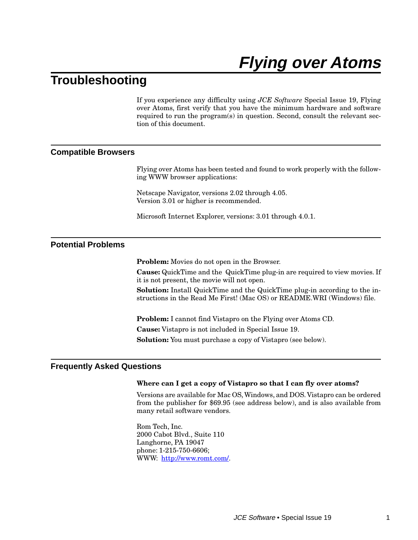# **Flying over Atoms**

# **Troubleshooting**

If you experience any difficulty using *JCE Software* Special Issue 19, Flying over Atoms, first verify that you have the minimum hardware and software required to run the program(s) in question. Second, consult the relevant section of this document.

#### **Compatible Browsers**

Flying over Atoms has been tested and found to work properly with the following WWW browser applications:

Netscape Navigator, versions 2.02 through 4.05. Version 3.01 or higher is recommended.

Microsoft Internet Explorer, versions: 3.01 through 4.0.1.

### **Potential Problems**

**Problem:** Movies do not open in the Browser.

**Cause:** QuickTime and the QuickTime plug-in are required to view movies. If it is not present, the movie will not open.

**Solution:** Install QuickTime and the QuickTime plug-in according to the instructions in the Read Me First! (Mac OS) or README.WRI (Windows) file.

**Problem:** I cannot find Vistapro on the Flying over Atoms CD. **Cause:** Vistapro is not included in Special Issue 19. **Solution:** You must purchase a copy of Vistapro (see below).

#### **Frequently Asked Questions**

#### **Where can I get a copy of Vistapro so that I can fly over atoms?**

Versions are available for Mac OS, Windows, and DOS. Vistapro can be ordered from the publisher for \$69.95 (see address below), and is also available from many retail software vendors.

Rom Tech, Inc. 2000 Cabot Blvd., Suite 110 Langhorne, PA 19047 phone: 1-215-750-6606; WWW: <http://www.romt.com/>.